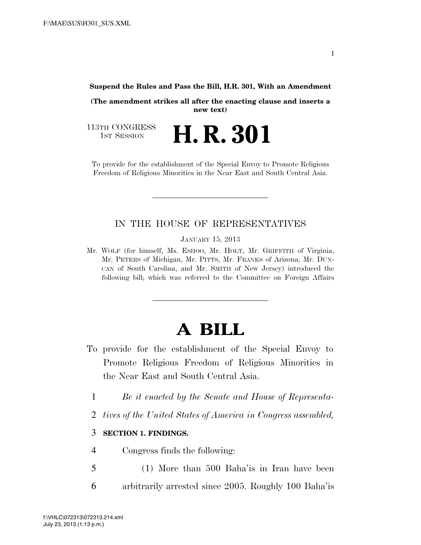#### **Suspend the Rules and Pass the Bill, H.R. 301, With an Amendment**

**(The amendment strikes all after the enacting clause and inserts a new text)** 

**H. R. 301** 

113TH CONGRESS<br>1st Session

To provide for the establishment of the Special Envoy to Promote Religious Freedom of Religious Minorities in the Near East and South Central Asia.

### IN THE HOUSE OF REPRESENTATIVES

JANUARY 15, 2013

Mr. WOLF (for himself, Ms. ESHOO, Mr. HOLT, Mr. GRIFFITH of Virginia, Mr. PETERS of Michigan, Mr. PITTS, Mr. FRANKS of Arizona, Mr. DUN-CAN of South Carolina, and Mr. SMITH of New Jersey) introduced the following bill; which was referred to the Committee on Foreign Affairs

# **A BILL**

- To provide for the establishment of the Special Envoy to Promote Religious Freedom of Religious Minorities in the Near East and South Central Asia.
	- 1 *Be it enacted by the Senate and House of Representa-*
	- 2 *tives of the United States of America in Congress assembled,*

### 3 **SECTION 1. FINDINGS.**

- 4 Congress finds the following:
- 5 (1) More than 500 Baha'is in Iran have been 6 arbitrarily arrested since 2005. Roughly 100 Baha'is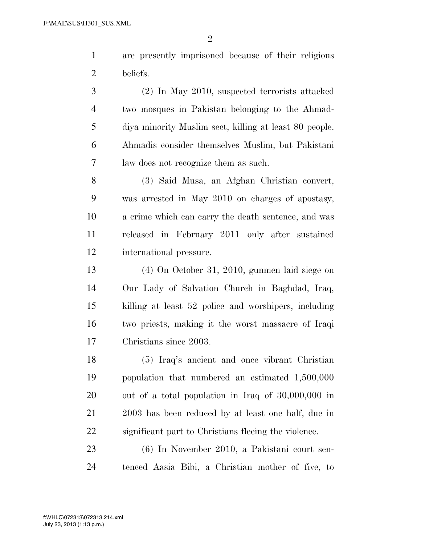are presently imprisoned because of their religious beliefs.

 (2) In May 2010, suspected terrorists attacked two mosques in Pakistan belonging to the Ahmad- diya minority Muslim sect, killing at least 80 people. Ahmadis consider themselves Muslim, but Pakistani law does not recognize them as such.

 (3) Said Musa, an Afghan Christian convert, was arrested in May 2010 on charges of apostasy, a crime which can carry the death sentence, and was released in February 2011 only after sustained international pressure.

 (4) On October 31, 2010, gunmen laid siege on Our Lady of Salvation Church in Baghdad, Iraq, killing at least 52 police and worshipers, including two priests, making it the worst massacre of Iraqi Christians since 2003.

 (5) Iraq's ancient and once vibrant Christian population that numbered an estimated 1,500,000 out of a total population in Iraq of 30,000,000 in 2003 has been reduced by at least one half, due in significant part to Christians fleeing the violence.

 (6) In November 2010, a Pakistani court sen-tenced Aasia Bibi, a Christian mother of five, to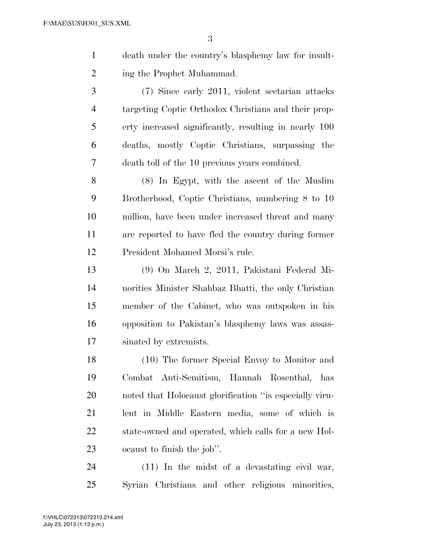- death under the country's blasphemy law for insult-ing the Prophet Muhammad.
- (7) Since early 2011, violent sectarian attacks targeting Coptic Orthodox Christians and their prop- erty increased significantly, resulting in nearly 100 deaths, mostly Coptic Christians, surpassing the death toll of the 10 previous years combined.

 (8) In Egypt, with the ascent of the Muslim Brotherhood, Coptic Christians, numbering 8 to 10 million, have been under increased threat and many are reported to have fled the country during former President Mohamed Morsi's rule.

 (9) On March 2, 2011, Pakistani Federal Mi- norities Minister Shahbaz Bhatti, the only Christian member of the Cabinet, who was outspoken in his opposition to Pakistan's blasphemy laws was assas-sinated by extremists.

 (10) The former Special Envoy to Monitor and Combat Anti-Semitism, Hannah Rosenthal, has noted that Holocaust glorification ''is especially viru- lent in Middle Eastern media, some of which is state-owned and operated, which calls for a new Hol-ocaust to finish the job''.

 (11) In the midst of a devastating civil war, Syrian Christians and other religious minorities,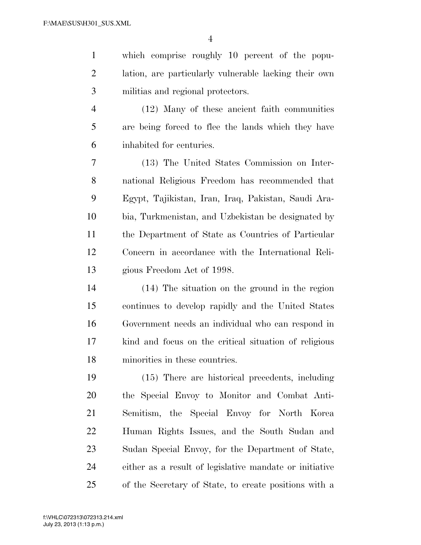which comprise roughly 10 percent of the popu- lation, are particularly vulnerable lacking their own militias and regional protectors.

 (12) Many of these ancient faith communities are being forced to flee the lands which they have inhabited for centuries.

 (13) The United States Commission on Inter- national Religious Freedom has recommended that Egypt, Tajikistan, Iran, Iraq, Pakistan, Saudi Ara- bia, Turkmenistan, and Uzbekistan be designated by the Department of State as Countries of Particular Concern in accordance with the International Reli-gious Freedom Act of 1998.

 (14) The situation on the ground in the region continues to develop rapidly and the United States Government needs an individual who can respond in kind and focus on the critical situation of religious minorities in these countries.

 (15) There are historical precedents, including the Special Envoy to Monitor and Combat Anti- Semitism, the Special Envoy for North Korea Human Rights Issues, and the South Sudan and Sudan Special Envoy, for the Department of State, either as a result of legislative mandate or initiative of the Secretary of State, to create positions with a

 $V_{\rm eff}$  ) and 0.000  $P_{\rm eff}$  is the  $2\pi$  -documental  $\lambda$  -documental  $\lambda$  simulation  $\lambda$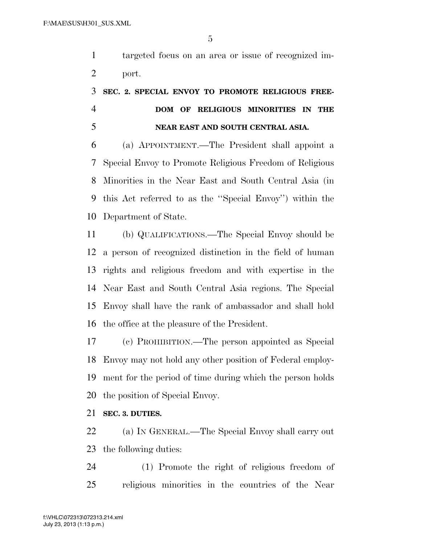targeted focus on an area or issue of recognized im-port.

## **SEC. 2. SPECIAL ENVOY TO PROMOTE RELIGIOUS FREE- DOM OF RELIGIOUS MINORITIES IN THE NEAR EAST AND SOUTH CENTRAL ASIA.**

 (a) APPOINTMENT.—The President shall appoint a Special Envoy to Promote Religious Freedom of Religious Minorities in the Near East and South Central Asia (in this Act referred to as the ''Special Envoy'') within the Department of State.

 (b) QUALIFICATIONS.—The Special Envoy should be a person of recognized distinction in the field of human rights and religious freedom and with expertise in the Near East and South Central Asia regions. The Special Envoy shall have the rank of ambassador and shall hold the office at the pleasure of the President.

 (c) PROHIBITION.—The person appointed as Special Envoy may not hold any other position of Federal employ- ment for the period of time during which the person holds the position of Special Envoy.

**SEC. 3. DUTIES.** 

 (a) IN GENERAL.—The Special Envoy shall carry out the following duties:

 (1) Promote the right of religious freedom of religious minorities in the countries of the Near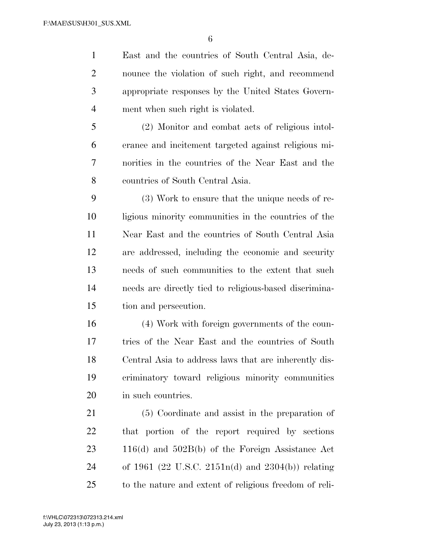East and the countries of South Central Asia, de- nounce the violation of such right, and recommend appropriate responses by the United States Govern-ment when such right is violated.

 (2) Monitor and combat acts of religious intol- erance and incitement targeted against religious mi- norities in the countries of the Near East and the countries of South Central Asia.

 (3) Work to ensure that the unique needs of re- ligious minority communities in the countries of the Near East and the countries of South Central Asia are addressed, including the economic and security needs of such communities to the extent that such needs are directly tied to religious-based discrimina-tion and persecution.

 (4) Work with foreign governments of the coun- tries of the Near East and the countries of South Central Asia to address laws that are inherently dis- criminatory toward religious minority communities in such countries.

 (5) Coordinate and assist in the preparation of that portion of the report required by sections 116(d) and 502B(b) of the Foreign Assistance Act of 1961 (22 U.S.C. 2151n(d) and 2304(b)) relating to the nature and extent of religious freedom of reli-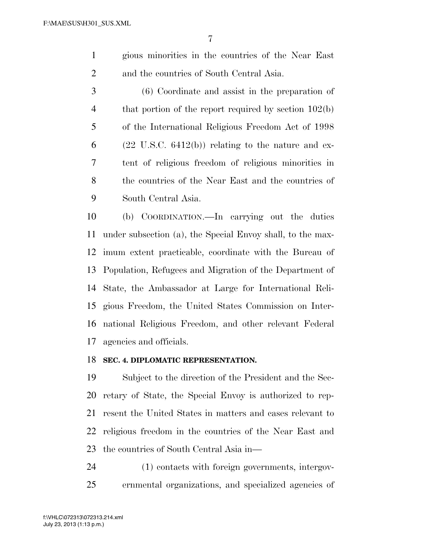gious minorities in the countries of the Near East and the countries of South Central Asia.

 (6) Coordinate and assist in the preparation of 4 that portion of the report required by section 102(b) of the International Religious Freedom Act of 1998 6 (22 U.S.C. 6412(b)) relating to the nature and ex- tent of religious freedom of religious minorities in the countries of the Near East and the countries of South Central Asia.

 (b) COORDINATION.—In carrying out the duties under subsection (a), the Special Envoy shall, to the max- imum extent practicable, coordinate with the Bureau of Population, Refugees and Migration of the Department of State, the Ambassador at Large for International Reli- gious Freedom, the United States Commission on Inter- national Religious Freedom, and other relevant Federal agencies and officials.

#### **SEC. 4. DIPLOMATIC REPRESENTATION.**

 Subject to the direction of the President and the Sec- retary of State, the Special Envoy is authorized to rep- resent the United States in matters and cases relevant to religious freedom in the countries of the Near East and the countries of South Central Asia in—

 (1) contacts with foreign governments, intergov-ernmental organizations, and specialized agencies of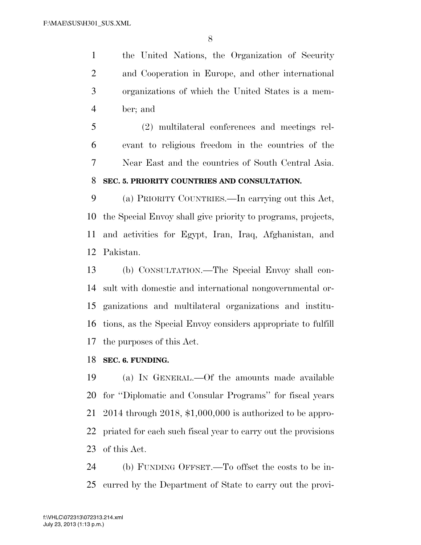the United Nations, the Organization of Security and Cooperation in Europe, and other international organizations of which the United States is a mem-ber; and

 (2) multilateral conferences and meetings rel- evant to religious freedom in the countries of the Near East and the countries of South Central Asia. **SEC. 5. PRIORITY COUNTRIES AND CONSULTATION.** 

 (a) PRIORITY COUNTRIES.—In carrying out this Act, the Special Envoy shall give priority to programs, projects, and activities for Egypt, Iran, Iraq, Afghanistan, and Pakistan.

 (b) CONSULTATION.—The Special Envoy shall con- sult with domestic and international nongovernmental or- ganizations and multilateral organizations and institu- tions, as the Special Envoy considers appropriate to fulfill the purposes of this Act.

#### **SEC. 6. FUNDING.**

 (a) IN GENERAL.—Of the amounts made available for ''Diplomatic and Consular Programs'' for fiscal years 2014 through 2018, \$1,000,000 is authorized to be appro- priated for each such fiscal year to carry out the provisions of this Act.

 (b) FUNDING OFFSET.—To offset the costs to be in-curred by the Department of State to carry out the provi